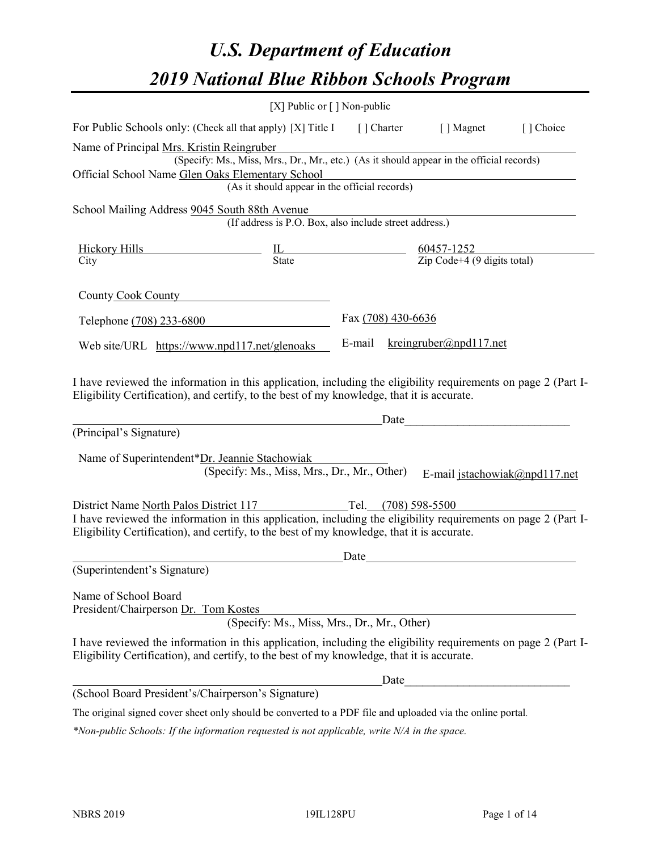# *U.S. Department of Education 2019 National Blue Ribbon Schools Program*

|                                                                                                                                                                                                              | [X] Public or $\lceil$ ] Non-public                                                                                                       |                       |                                                                                                                                                                                                                                                                |           |
|--------------------------------------------------------------------------------------------------------------------------------------------------------------------------------------------------------------|-------------------------------------------------------------------------------------------------------------------------------------------|-----------------------|----------------------------------------------------------------------------------------------------------------------------------------------------------------------------------------------------------------------------------------------------------------|-----------|
| For Public Schools only: (Check all that apply) [X] Title I [] Charter [] Magnet                                                                                                                             |                                                                                                                                           |                       |                                                                                                                                                                                                                                                                | [] Choice |
| Name of Principal Mrs. Kristin Reingruber<br>Official School Name Glen Oaks Elementary School                                                                                                                | (Specify: Ms., Miss, Mrs., Dr., Mr., etc.) (As it should appear in the official records)<br>(As it should appear in the official records) |                       |                                                                                                                                                                                                                                                                |           |
| School Mailing Address 9045 South 88th Avenue                                                                                                                                                                | (If address is P.O. Box, also include street address.)                                                                                    |                       |                                                                                                                                                                                                                                                                |           |
|                                                                                                                                                                                                              | $\frac{\text{Hickory Hills}}{\text{City}}$ $\frac{\text{IL}}{\text{State}}$ $\frac{60457 - 1252}{\text{Zip Code} + 4 (9 digits total)}$   |                       |                                                                                                                                                                                                                                                                |           |
|                                                                                                                                                                                                              |                                                                                                                                           |                       |                                                                                                                                                                                                                                                                |           |
| County Cook County                                                                                                                                                                                           |                                                                                                                                           |                       |                                                                                                                                                                                                                                                                |           |
| Telephone (708) 233-6800                                                                                                                                                                                     |                                                                                                                                           | Fax (708) 430-6636    |                                                                                                                                                                                                                                                                |           |
| Web site/URL https://www.npd117.net/glenoaks                                                                                                                                                                 |                                                                                                                                           | E-mail                | $k$ reingruber@npd117.net                                                                                                                                                                                                                                      |           |
| Eligibility Certification), and certify, to the best of my knowledge, that it is accurate.<br>(Principal's Signature)<br>Name of Superintendent*Dr. Jeannie Stachowiak                                       | (Specify: Ms., Miss, Mrs., Dr., Mr., Other)                                                                                               |                       | Date and the set of the set of the set of the set of the set of the set of the set of the set of the set of the set of the set of the set of the set of the set of the set of the set of the set of the set of the set of the<br>E-mail jstachowiak@npd117.net |           |
| District Name North Palos District 117                                                                                                                                                                       |                                                                                                                                           | Tel. $(708)$ 598-5500 |                                                                                                                                                                                                                                                                |           |
| I have reviewed the information in this application, including the eligibility requirements on page 2 (Part I-<br>Eligibility Certification), and certify, to the best of my knowledge, that it is accurate. |                                                                                                                                           |                       |                                                                                                                                                                                                                                                                |           |
|                                                                                                                                                                                                              |                                                                                                                                           | Date                  |                                                                                                                                                                                                                                                                |           |
| (Superintendent's Signature)                                                                                                                                                                                 |                                                                                                                                           |                       |                                                                                                                                                                                                                                                                |           |
| Name of School Board<br>President/Chairperson Dr. Tom Kostes                                                                                                                                                 | (Specify: Ms., Miss, Mrs., Dr., Mr., Other)                                                                                               |                       |                                                                                                                                                                                                                                                                |           |
| I have reviewed the information in this application, including the eligibility requirements on page 2 (Part I-<br>Eligibility Certification), and certify, to the best of my knowledge, that it is accurate. |                                                                                                                                           |                       |                                                                                                                                                                                                                                                                |           |
|                                                                                                                                                                                                              |                                                                                                                                           | Date                  |                                                                                                                                                                                                                                                                |           |
| (School Board President's/Chairperson's Signature)                                                                                                                                                           |                                                                                                                                           |                       |                                                                                                                                                                                                                                                                |           |
| The original signed cover sheet only should be converted to a PDF file and uploaded via the online portal.                                                                                                   |                                                                                                                                           |                       |                                                                                                                                                                                                                                                                |           |

*\*Non-public Schools: If the information requested is not applicable, write N/A in the space.*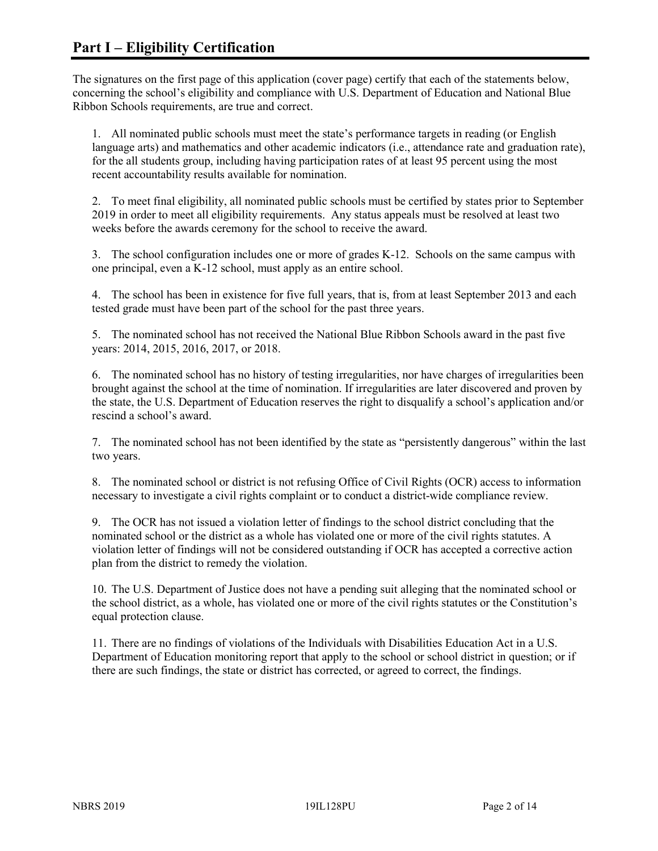The signatures on the first page of this application (cover page) certify that each of the statements below, concerning the school's eligibility and compliance with U.S. Department of Education and National Blue Ribbon Schools requirements, are true and correct.

1. All nominated public schools must meet the state's performance targets in reading (or English language arts) and mathematics and other academic indicators (i.e., attendance rate and graduation rate), for the all students group, including having participation rates of at least 95 percent using the most recent accountability results available for nomination.

2. To meet final eligibility, all nominated public schools must be certified by states prior to September 2019 in order to meet all eligibility requirements. Any status appeals must be resolved at least two weeks before the awards ceremony for the school to receive the award.

3. The school configuration includes one or more of grades K-12. Schools on the same campus with one principal, even a K-12 school, must apply as an entire school.

4. The school has been in existence for five full years, that is, from at least September 2013 and each tested grade must have been part of the school for the past three years.

5. The nominated school has not received the National Blue Ribbon Schools award in the past five years: 2014, 2015, 2016, 2017, or 2018.

6. The nominated school has no history of testing irregularities, nor have charges of irregularities been brought against the school at the time of nomination. If irregularities are later discovered and proven by the state, the U.S. Department of Education reserves the right to disqualify a school's application and/or rescind a school's award.

7. The nominated school has not been identified by the state as "persistently dangerous" within the last two years.

8. The nominated school or district is not refusing Office of Civil Rights (OCR) access to information necessary to investigate a civil rights complaint or to conduct a district-wide compliance review.

9. The OCR has not issued a violation letter of findings to the school district concluding that the nominated school or the district as a whole has violated one or more of the civil rights statutes. A violation letter of findings will not be considered outstanding if OCR has accepted a corrective action plan from the district to remedy the violation.

10. The U.S. Department of Justice does not have a pending suit alleging that the nominated school or the school district, as a whole, has violated one or more of the civil rights statutes or the Constitution's equal protection clause.

11. There are no findings of violations of the Individuals with Disabilities Education Act in a U.S. Department of Education monitoring report that apply to the school or school district in question; or if there are such findings, the state or district has corrected, or agreed to correct, the findings.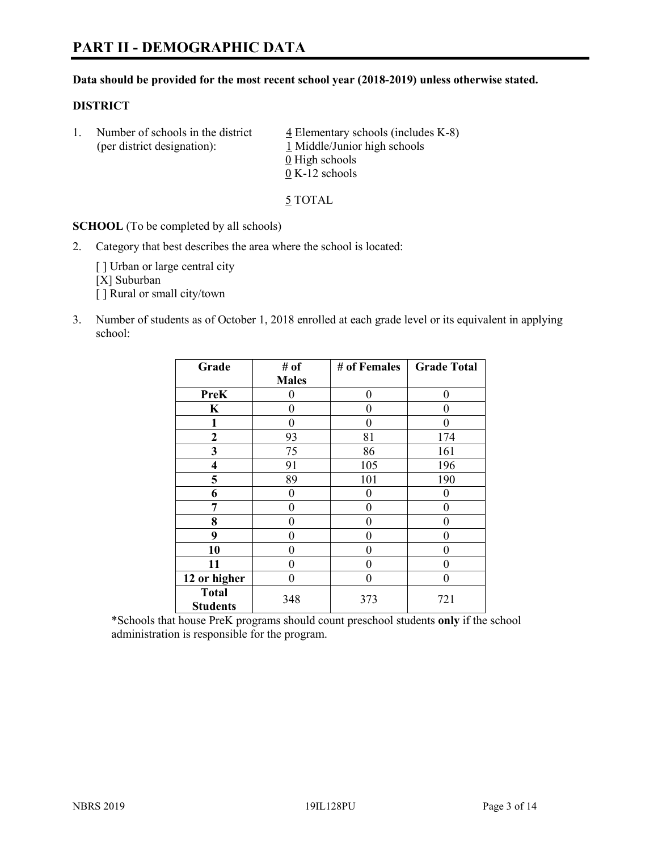#### **Data should be provided for the most recent school year (2018-2019) unless otherwise stated.**

#### **DISTRICT**

1. Number of schools in the district  $\frac{4}{5}$  Elementary schools (includes K-8) (per district designation): 1 Middle/Junior high schools  $\underline{0}$  High schools 0 K-12 schools

5 TOTAL

**SCHOOL** (To be completed by all schools)

2. Category that best describes the area where the school is located:

[] Urban or large central city [X] Suburban [] Rural or small city/town

3. Number of students as of October 1, 2018 enrolled at each grade level or its equivalent in applying school:

| Grade                           | # of         | # of Females | <b>Grade Total</b> |
|---------------------------------|--------------|--------------|--------------------|
|                                 | <b>Males</b> |              |                    |
| <b>PreK</b>                     | 0            | $\theta$     | 0                  |
| $\mathbf K$                     | 0            | 0            | 0                  |
| 1                               | 0            | 0            | 0                  |
| $\mathbf{2}$                    | 93           | 81           | 174                |
| 3                               | 75           | 86           | 161                |
| 4                               | 91           | 105          | 196                |
| 5                               | 89           | 101          | 190                |
| 6                               | 0            | 0            | 0                  |
| 7                               | 0            | 0            | 0                  |
| 8                               | 0            | 0            | 0                  |
| 9                               | 0            | 0            | 0                  |
| 10                              | 0            | 0            | 0                  |
| 11                              | 0            | 0            | 0                  |
| 12 or higher                    | $\theta$     | 0            | 0                  |
| <b>Total</b><br><b>Students</b> | 348          | 373          | 721                |

\*Schools that house PreK programs should count preschool students **only** if the school administration is responsible for the program.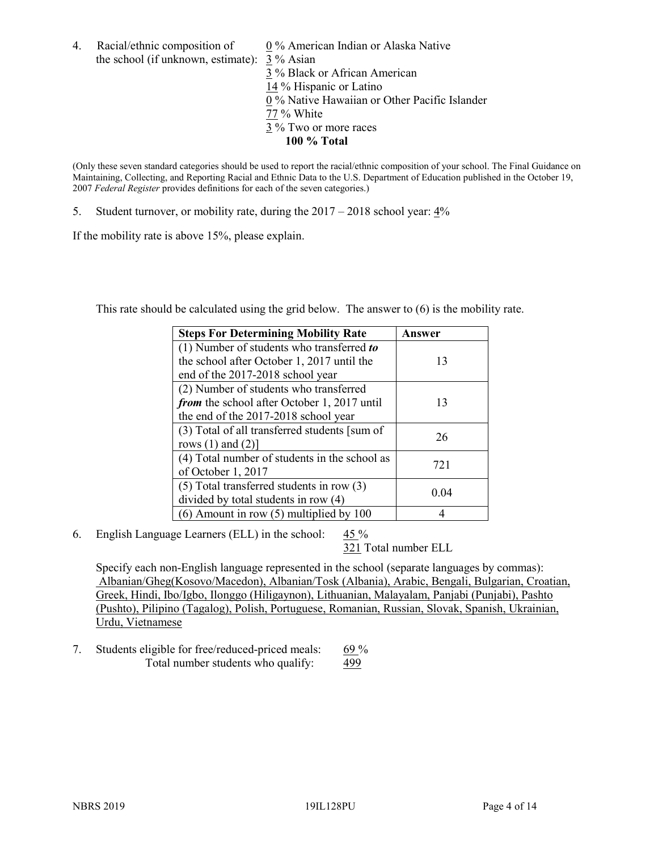4. Racial/ethnic composition of 0 % American Indian or Alaska Native the school (if unknown, estimate): 3 % Asian 3 % Black or African American 14 % Hispanic or Latino 0 % Native Hawaiian or Other Pacific Islander 77 % White 3 % Two or more races

**100 % Total**

(Only these seven standard categories should be used to report the racial/ethnic composition of your school. The Final Guidance on Maintaining, Collecting, and Reporting Racial and Ethnic Data to the U.S. Department of Education published in the October 19, 2007 *Federal Register* provides definitions for each of the seven categories.)

5. Student turnover, or mobility rate, during the 2017 – 2018 school year: 4%

If the mobility rate is above 15%, please explain.

This rate should be calculated using the grid below. The answer to (6) is the mobility rate.

| <b>Steps For Determining Mobility Rate</b>    | Answer |
|-----------------------------------------------|--------|
| $(1)$ Number of students who transferred to   |        |
| the school after October 1, 2017 until the    | 13     |
| end of the 2017-2018 school year              |        |
| (2) Number of students who transferred        |        |
| from the school after October 1, 2017 until   | 13     |
| the end of the 2017-2018 school year          |        |
| (3) Total of all transferred students [sum of | 26     |
| rows $(1)$ and $(2)$ ]                        |        |
| (4) Total number of students in the school as | 721    |
| of October 1, 2017                            |        |
| $(5)$ Total transferred students in row $(3)$ | 0.04   |
| divided by total students in row (4)          |        |
| (6) Amount in row (5) multiplied by 100       |        |

6. English Language Learners (ELL) in the school: 45 %

321 Total number ELL

Specify each non-English language represented in the school (separate languages by commas): Albanian/Gheg(Kosovo/Macedon), Albanian/Tosk (Albania), Arabic, Bengali, Bulgarian, Croatian, Greek, Hindi, Ibo/Igbo, Ilonggo (Hiligaynon), Lithuanian, Malayalam, Panjabi (Punjabi), Pashto (Pushto), Pilipino (Tagalog), Polish, Portuguese, Romanian, Russian, Slovak, Spanish, Ukrainian, Urdu, Vietnamese

7. Students eligible for free/reduced-priced meals: 69 % Total number students who qualify: 499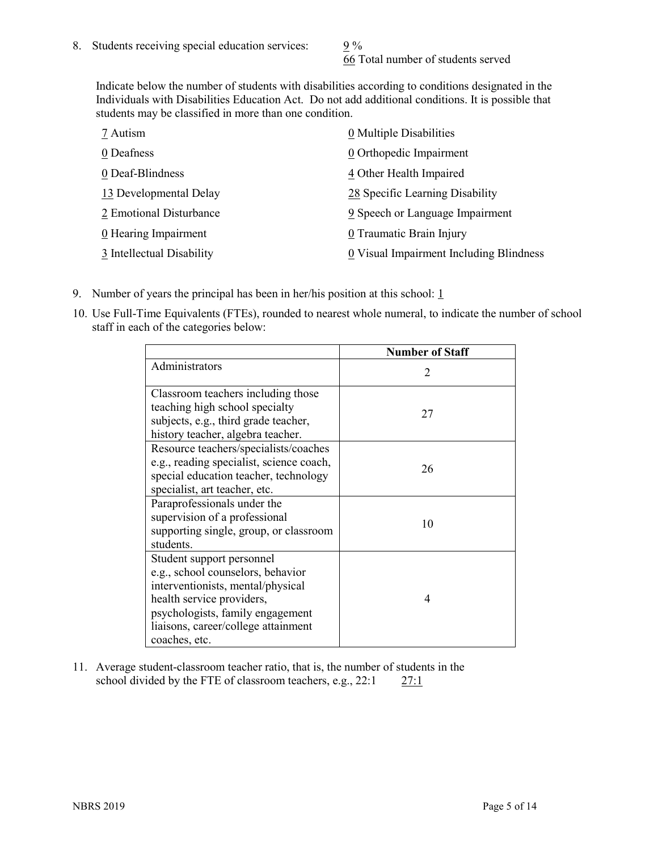66 Total number of students served

Indicate below the number of students with disabilities according to conditions designated in the Individuals with Disabilities Education Act. Do not add additional conditions. It is possible that students may be classified in more than one condition.

| 7 Autism                  | 0 Multiple Disabilities                 |
|---------------------------|-----------------------------------------|
| 0 Deafness                | 0 Orthopedic Impairment                 |
| 0 Deaf-Blindness          | 4 Other Health Impaired                 |
| 13 Developmental Delay    | 28 Specific Learning Disability         |
| 2 Emotional Disturbance   | 9 Speech or Language Impairment         |
| 0 Hearing Impairment      | 0 Traumatic Brain Injury                |
| 3 Intellectual Disability | 0 Visual Impairment Including Blindness |

- 9. Number of years the principal has been in her/his position at this school:  $1$
- 10. Use Full-Time Equivalents (FTEs), rounded to nearest whole numeral, to indicate the number of school staff in each of the categories below:

|                                                                                                                                                                                                                              | <b>Number of Staff</b>      |
|------------------------------------------------------------------------------------------------------------------------------------------------------------------------------------------------------------------------------|-----------------------------|
| Administrators                                                                                                                                                                                                               | $\mathcal{D}_{\mathcal{L}}$ |
| Classroom teachers including those<br>teaching high school specialty<br>subjects, e.g., third grade teacher,<br>history teacher, algebra teacher.                                                                            | 27                          |
| Resource teachers/specialists/coaches<br>e.g., reading specialist, science coach,<br>special education teacher, technology<br>specialist, art teacher, etc.                                                                  | 26                          |
| Paraprofessionals under the<br>supervision of a professional<br>supporting single, group, or classroom<br>students.                                                                                                          | 10                          |
| Student support personnel<br>e.g., school counselors, behavior<br>interventionists, mental/physical<br>health service providers,<br>psychologists, family engagement<br>liaisons, career/college attainment<br>coaches, etc. | 4                           |

11. Average student-classroom teacher ratio, that is, the number of students in the school divided by the FTE of classroom teachers, e.g., 22:1 27:1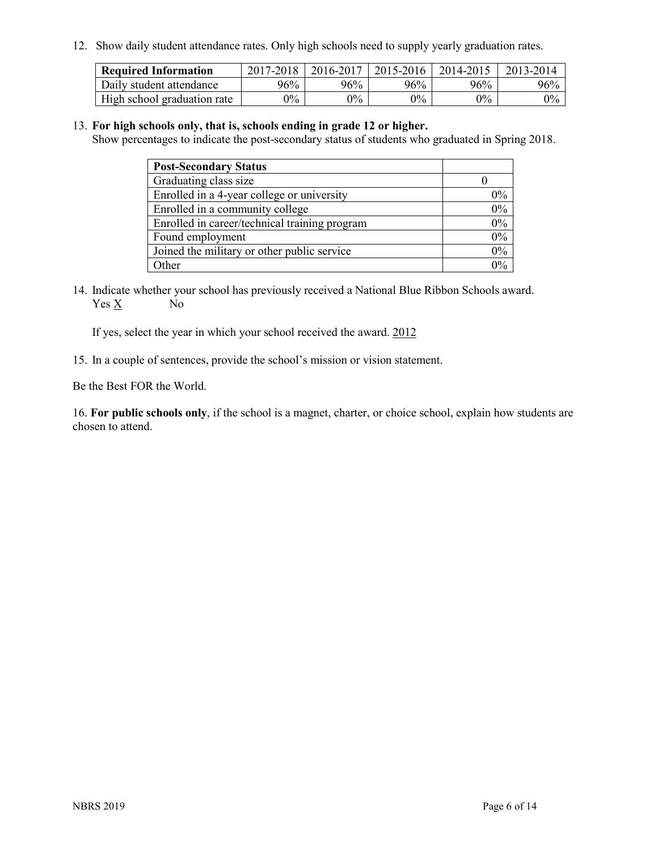12. Show daily student attendance rates. Only high schools need to supply yearly graduation rates.

| <b>Required Information</b> | $2017 - 2018$ | 2016-2017 | 2015-2016 | 2014-2015 | 2013-2014 |
|-----------------------------|---------------|-----------|-----------|-----------|-----------|
| Daily student attendance    | 96%           | 96%       | 96%       | 96%       | 96%       |
| High school graduation rate | $0\%$         | $0\%$     | $0\%$     | $9\%$     | $0\%$     |

#### 13. **For high schools only, that is, schools ending in grade 12 or higher.**

Show percentages to indicate the post-secondary status of students who graduated in Spring 2018.

| <b>Post-Secondary Status</b>                  |           |
|-----------------------------------------------|-----------|
| Graduating class size                         |           |
| Enrolled in a 4-year college or university    | $0\%$     |
| Enrolled in a community college               | 0%        |
| Enrolled in career/technical training program | $0\%$     |
| Found employment                              | 0%        |
| Joined the military or other public service   | 0%        |
| Other                                         | በዓ $\sim$ |

14. Indicate whether your school has previously received a National Blue Ribbon Schools award. Yes X No

If yes, select the year in which your school received the award. 2012

15. In a couple of sentences, provide the school's mission or vision statement.

Be the Best FOR the World.

16. **For public schools only**, if the school is a magnet, charter, or choice school, explain how students are chosen to attend.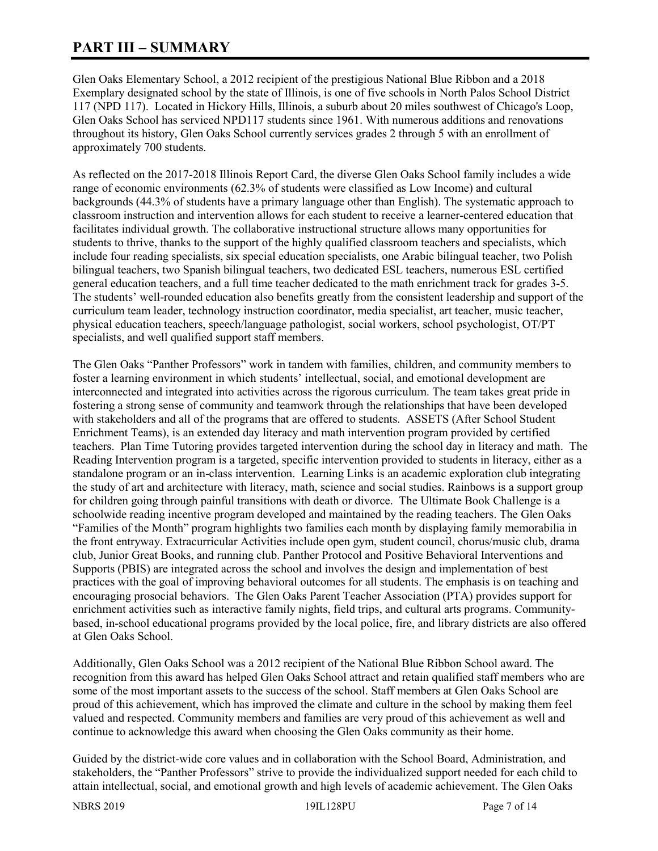# **PART III – SUMMARY**

Glen Oaks Elementary School, a 2012 recipient of the prestigious National Blue Ribbon and a 2018 Exemplary designated school by the state of Illinois, is one of five schools in North Palos School District 117 (NPD 117). Located in Hickory Hills, Illinois, a suburb about 20 miles southwest of Chicago's Loop, Glen Oaks School has serviced NPD117 students since 1961. With numerous additions and renovations throughout its history, Glen Oaks School currently services grades 2 through 5 with an enrollment of approximately 700 students.

As reflected on the 2017-2018 Illinois Report Card, the diverse Glen Oaks School family includes a wide range of economic environments (62.3% of students were classified as Low Income) and cultural backgrounds (44.3% of students have a primary language other than English). The systematic approach to classroom instruction and intervention allows for each student to receive a learner-centered education that facilitates individual growth. The collaborative instructional structure allows many opportunities for students to thrive, thanks to the support of the highly qualified classroom teachers and specialists, which include four reading specialists, six special education specialists, one Arabic bilingual teacher, two Polish bilingual teachers, two Spanish bilingual teachers, two dedicated ESL teachers, numerous ESL certified general education teachers, and a full time teacher dedicated to the math enrichment track for grades 3-5. The students' well-rounded education also benefits greatly from the consistent leadership and support of the curriculum team leader, technology instruction coordinator, media specialist, art teacher, music teacher, physical education teachers, speech/language pathologist, social workers, school psychologist, OT/PT specialists, and well qualified support staff members.

The Glen Oaks "Panther Professors" work in tandem with families, children, and community members to foster a learning environment in which students' intellectual, social, and emotional development are interconnected and integrated into activities across the rigorous curriculum. The team takes great pride in fostering a strong sense of community and teamwork through the relationships that have been developed with stakeholders and all of the programs that are offered to students. ASSETS (After School Student Enrichment Teams), is an extended day literacy and math intervention program provided by certified teachers. Plan Time Tutoring provides targeted intervention during the school day in literacy and math. The Reading Intervention program is a targeted, specific intervention provided to students in literacy, either as a standalone program or an in-class intervention. Learning Links is an academic exploration club integrating the study of art and architecture with literacy, math, science and social studies. Rainbows is a support group for children going through painful transitions with death or divorce. The Ultimate Book Challenge is a schoolwide reading incentive program developed and maintained by the reading teachers. The Glen Oaks "Families of the Month" program highlights two families each month by displaying family memorabilia in the front entryway. Extracurricular Activities include open gym, student council, chorus/music club, drama club, Junior Great Books, and running club. Panther Protocol and Positive Behavioral Interventions and Supports (PBIS) are integrated across the school and involves the design and implementation of best practices with the goal of improving behavioral outcomes for all students. The emphasis is on teaching and encouraging prosocial behaviors. The Glen Oaks Parent Teacher Association (PTA) provides support for enrichment activities such as interactive family nights, field trips, and cultural arts programs. Communitybased, in-school educational programs provided by the local police, fire, and library districts are also offered at Glen Oaks School.

Additionally, Glen Oaks School was a 2012 recipient of the National Blue Ribbon School award. The recognition from this award has helped Glen Oaks School attract and retain qualified staff members who are some of the most important assets to the success of the school. Staff members at Glen Oaks School are proud of this achievement, which has improved the climate and culture in the school by making them feel valued and respected. Community members and families are very proud of this achievement as well and continue to acknowledge this award when choosing the Glen Oaks community as their home.

Guided by the district-wide core values and in collaboration with the School Board, Administration, and stakeholders, the "Panther Professors" strive to provide the individualized support needed for each child to attain intellectual, social, and emotional growth and high levels of academic achievement. The Glen Oaks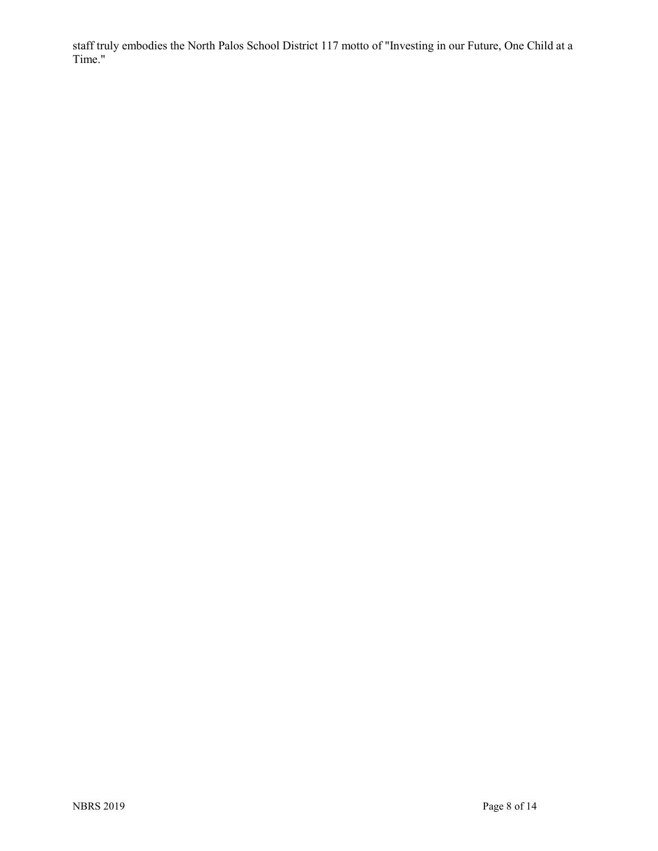staff truly embodies the North Palos School District 117 motto of "Investing in our Future, One Child at a Time."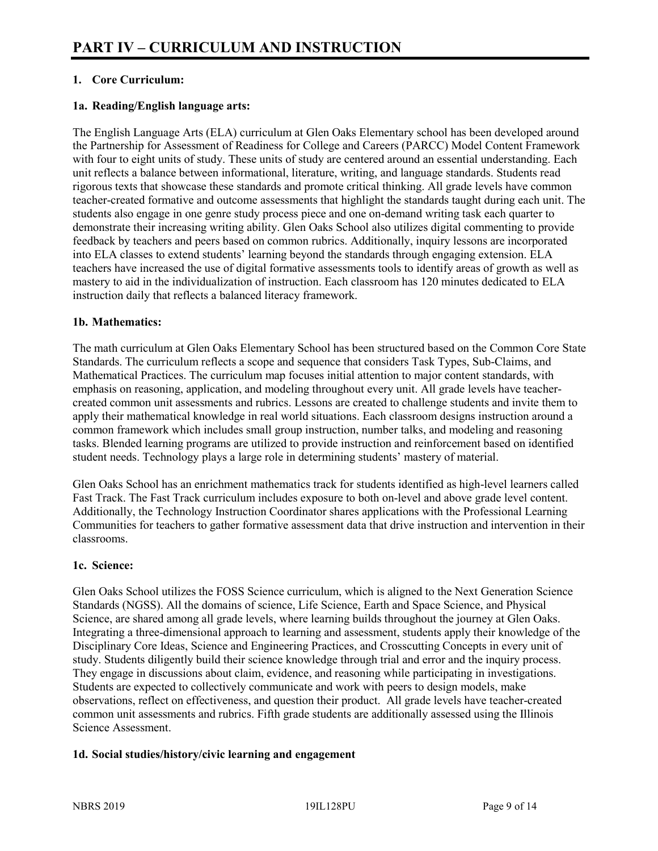# **1. Core Curriculum:**

# **1a. Reading/English language arts:**

The English Language Arts (ELA) curriculum at Glen Oaks Elementary school has been developed around the Partnership for Assessment of Readiness for College and Careers (PARCC) Model Content Framework with four to eight units of study. These units of study are centered around an essential understanding. Each unit reflects a balance between informational, literature, writing, and language standards. Students read rigorous texts that showcase these standards and promote critical thinking. All grade levels have common teacher-created formative and outcome assessments that highlight the standards taught during each unit. The students also engage in one genre study process piece and one on-demand writing task each quarter to demonstrate their increasing writing ability. Glen Oaks School also utilizes digital commenting to provide feedback by teachers and peers based on common rubrics. Additionally, inquiry lessons are incorporated into ELA classes to extend students' learning beyond the standards through engaging extension. ELA teachers have increased the use of digital formative assessments tools to identify areas of growth as well as mastery to aid in the individualization of instruction. Each classroom has 120 minutes dedicated to ELA instruction daily that reflects a balanced literacy framework.

### **1b. Mathematics:**

The math curriculum at Glen Oaks Elementary School has been structured based on the Common Core State Standards. The curriculum reflects a scope and sequence that considers Task Types, Sub-Claims, and Mathematical Practices. The curriculum map focuses initial attention to major content standards, with emphasis on reasoning, application, and modeling throughout every unit. All grade levels have teachercreated common unit assessments and rubrics. Lessons are created to challenge students and invite them to apply their mathematical knowledge in real world situations. Each classroom designs instruction around a common framework which includes small group instruction, number talks, and modeling and reasoning tasks. Blended learning programs are utilized to provide instruction and reinforcement based on identified student needs. Technology plays a large role in determining students' mastery of material.

Glen Oaks School has an enrichment mathematics track for students identified as high-level learners called Fast Track. The Fast Track curriculum includes exposure to both on-level and above grade level content. Additionally, the Technology Instruction Coordinator shares applications with the Professional Learning Communities for teachers to gather formative assessment data that drive instruction and intervention in their classrooms.

#### **1c. Science:**

Glen Oaks School utilizes the FOSS Science curriculum, which is aligned to the Next Generation Science Standards (NGSS). All the domains of science, Life Science, Earth and Space Science, and Physical Science, are shared among all grade levels, where learning builds throughout the journey at Glen Oaks. Integrating a three-dimensional approach to learning and assessment, students apply their knowledge of the Disciplinary Core Ideas, Science and Engineering Practices, and Crosscutting Concepts in every unit of study. Students diligently build their science knowledge through trial and error and the inquiry process. They engage in discussions about claim, evidence, and reasoning while participating in investigations. Students are expected to collectively communicate and work with peers to design models, make observations, reflect on effectiveness, and question their product. All grade levels have teacher-created common unit assessments and rubrics. Fifth grade students are additionally assessed using the Illinois Science Assessment.

# **1d. Social studies/history/civic learning and engagement**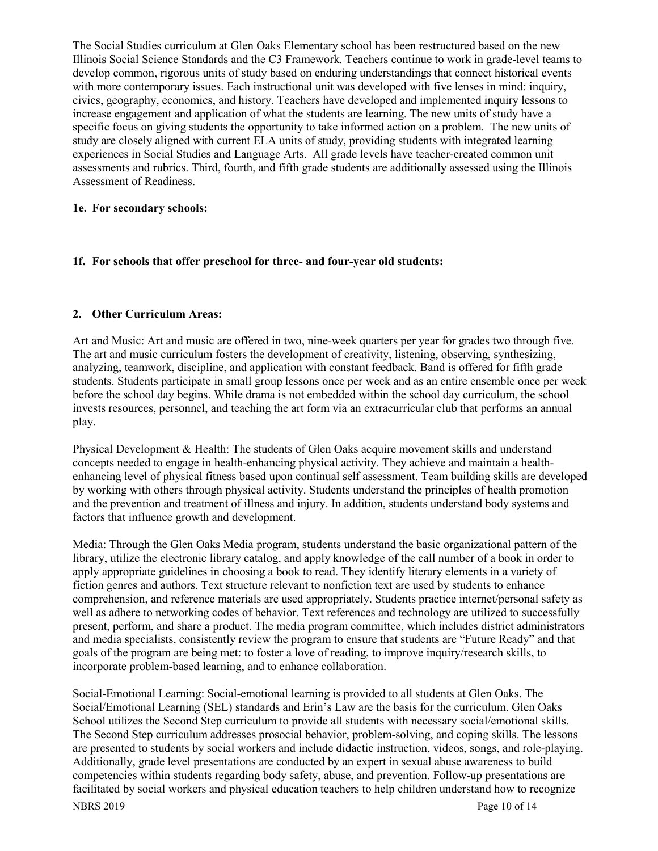The Social Studies curriculum at Glen Oaks Elementary school has been restructured based on the new Illinois Social Science Standards and the C3 Framework. Teachers continue to work in grade-level teams to develop common, rigorous units of study based on enduring understandings that connect historical events with more contemporary issues. Each instructional unit was developed with five lenses in mind: inquiry, civics, geography, economics, and history. Teachers have developed and implemented inquiry lessons to increase engagement and application of what the students are learning. The new units of study have a specific focus on giving students the opportunity to take informed action on a problem. The new units of study are closely aligned with current ELA units of study, providing students with integrated learning experiences in Social Studies and Language Arts. All grade levels have teacher-created common unit assessments and rubrics. Third, fourth, and fifth grade students are additionally assessed using the Illinois Assessment of Readiness.

# **1e. For secondary schools:**

#### **1f. For schools that offer preschool for three- and four-year old students:**

#### **2. Other Curriculum Areas:**

Art and Music: Art and music are offered in two, nine-week quarters per year for grades two through five. The art and music curriculum fosters the development of creativity, listening, observing, synthesizing, analyzing, teamwork, discipline, and application with constant feedback. Band is offered for fifth grade students. Students participate in small group lessons once per week and as an entire ensemble once per week before the school day begins. While drama is not embedded within the school day curriculum, the school invests resources, personnel, and teaching the art form via an extracurricular club that performs an annual play.

Physical Development & Health: The students of Glen Oaks acquire movement skills and understand concepts needed to engage in health-enhancing physical activity. They achieve and maintain a healthenhancing level of physical fitness based upon continual self assessment. Team building skills are developed by working with others through physical activity. Students understand the principles of health promotion and the prevention and treatment of illness and injury. In addition, students understand body systems and factors that influence growth and development.

Media: Through the Glen Oaks Media program, students understand the basic organizational pattern of the library, utilize the electronic library catalog, and apply knowledge of the call number of a book in order to apply appropriate guidelines in choosing a book to read. They identify literary elements in a variety of fiction genres and authors. Text structure relevant to nonfiction text are used by students to enhance comprehension, and reference materials are used appropriately. Students practice internet/personal safety as well as adhere to networking codes of behavior. Text references and technology are utilized to successfully present, perform, and share a product. The media program committee, which includes district administrators and media specialists, consistently review the program to ensure that students are "Future Ready" and that goals of the program are being met: to foster a love of reading, to improve inquiry/research skills, to incorporate problem-based learning, and to enhance collaboration.

Social-Emotional Learning: Social-emotional learning is provided to all students at Glen Oaks. The Social/Emotional Learning (SEL) standards and Erin's Law are the basis for the curriculum. Glen Oaks School utilizes the Second Step curriculum to provide all students with necessary social/emotional skills. The Second Step curriculum addresses prosocial behavior, problem-solving, and coping skills. The lessons are presented to students by social workers and include didactic instruction, videos, songs, and role-playing. Additionally, grade level presentations are conducted by an expert in sexual abuse awareness to build competencies within students regarding body safety, abuse, and prevention. Follow-up presentations are facilitated by social workers and physical education teachers to help children understand how to recognize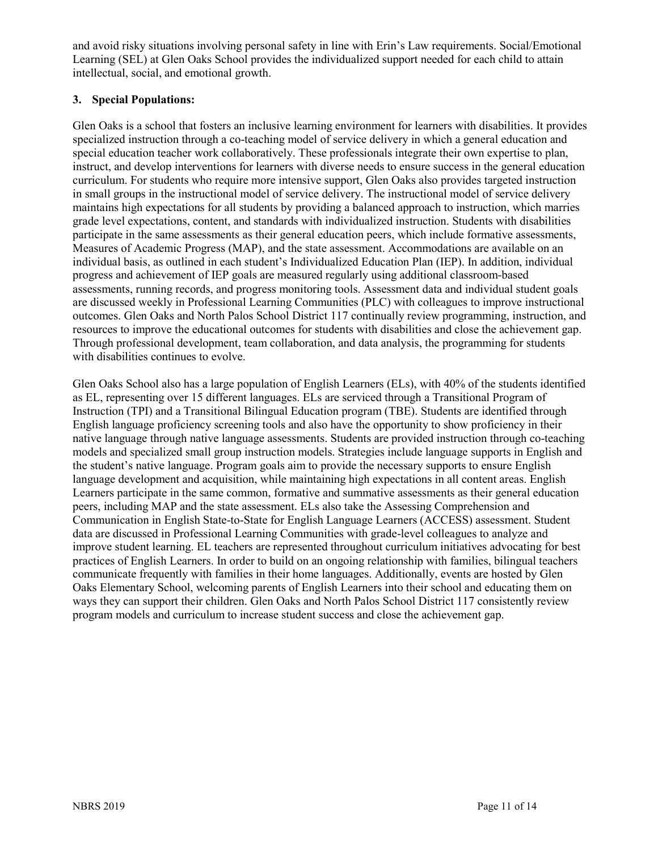and avoid risky situations involving personal safety in line with Erin's Law requirements. Social/Emotional Learning (SEL) at Glen Oaks School provides the individualized support needed for each child to attain intellectual, social, and emotional growth.

# **3. Special Populations:**

Glen Oaks is a school that fosters an inclusive learning environment for learners with disabilities. It provides specialized instruction through a co-teaching model of service delivery in which a general education and special education teacher work collaboratively. These professionals integrate their own expertise to plan, instruct, and develop interventions for learners with diverse needs to ensure success in the general education curriculum. For students who require more intensive support, Glen Oaks also provides targeted instruction in small groups in the instructional model of service delivery. The instructional model of service delivery maintains high expectations for all students by providing a balanced approach to instruction, which marries grade level expectations, content, and standards with individualized instruction. Students with disabilities participate in the same assessments as their general education peers, which include formative assessments, Measures of Academic Progress (MAP), and the state assessment. Accommodations are available on an individual basis, as outlined in each student's Individualized Education Plan (IEP). In addition, individual progress and achievement of IEP goals are measured regularly using additional classroom-based assessments, running records, and progress monitoring tools. Assessment data and individual student goals are discussed weekly in Professional Learning Communities (PLC) with colleagues to improve instructional outcomes. Glen Oaks and North Palos School District 117 continually review programming, instruction, and resources to improve the educational outcomes for students with disabilities and close the achievement gap. Through professional development, team collaboration, and data analysis, the programming for students with disabilities continues to evolve.

Glen Oaks School also has a large population of English Learners (ELs), with 40% of the students identified as EL, representing over 15 different languages. ELs are serviced through a Transitional Program of Instruction (TPI) and a Transitional Bilingual Education program (TBE). Students are identified through English language proficiency screening tools and also have the opportunity to show proficiency in their native language through native language assessments. Students are provided instruction through co-teaching models and specialized small group instruction models. Strategies include language supports in English and the student's native language. Program goals aim to provide the necessary supports to ensure English language development and acquisition, while maintaining high expectations in all content areas. English Learners participate in the same common, formative and summative assessments as their general education peers, including MAP and the state assessment. ELs also take the Assessing Comprehension and Communication in English State-to-State for English Language Learners (ACCESS) assessment. Student data are discussed in Professional Learning Communities with grade-level colleagues to analyze and improve student learning. EL teachers are represented throughout curriculum initiatives advocating for best practices of English Learners. In order to build on an ongoing relationship with families, bilingual teachers communicate frequently with families in their home languages. Additionally, events are hosted by Glen Oaks Elementary School, welcoming parents of English Learners into their school and educating them on ways they can support their children. Glen Oaks and North Palos School District 117 consistently review program models and curriculum to increase student success and close the achievement gap.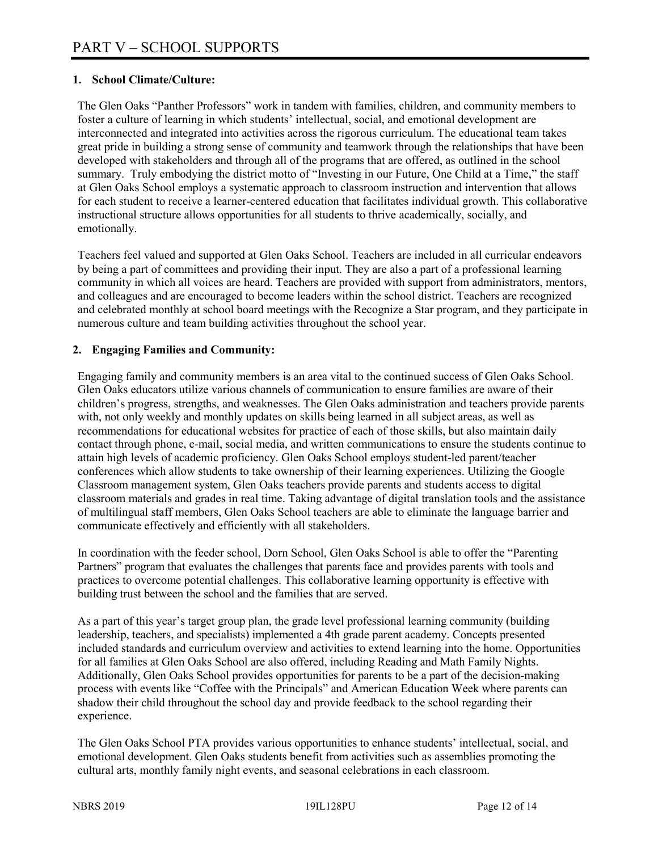## **1. School Climate/Culture:**

The Glen Oaks "Panther Professors" work in tandem with families, children, and community members to foster a culture of learning in which students' intellectual, social, and emotional development are interconnected and integrated into activities across the rigorous curriculum. The educational team takes great pride in building a strong sense of community and teamwork through the relationships that have been developed with stakeholders and through all of the programs that are offered, as outlined in the school summary. Truly embodying the district motto of "Investing in our Future, One Child at a Time," the staff at Glen Oaks School employs a systematic approach to classroom instruction and intervention that allows for each student to receive a learner-centered education that facilitates individual growth. This collaborative instructional structure allows opportunities for all students to thrive academically, socially, and emotionally.

Teachers feel valued and supported at Glen Oaks School. Teachers are included in all curricular endeavors by being a part of committees and providing their input. They are also a part of a professional learning community in which all voices are heard. Teachers are provided with support from administrators, mentors, and colleagues and are encouraged to become leaders within the school district. Teachers are recognized and celebrated monthly at school board meetings with the Recognize a Star program, and they participate in numerous culture and team building activities throughout the school year.

### **2. Engaging Families and Community:**

Engaging family and community members is an area vital to the continued success of Glen Oaks School. Glen Oaks educators utilize various channels of communication to ensure families are aware of their children's progress, strengths, and weaknesses. The Glen Oaks administration and teachers provide parents with, not only weekly and monthly updates on skills being learned in all subject areas, as well as recommendations for educational websites for practice of each of those skills, but also maintain daily contact through phone, e-mail, social media, and written communications to ensure the students continue to attain high levels of academic proficiency. Glen Oaks School employs student-led parent/teacher conferences which allow students to take ownership of their learning experiences. Utilizing the Google Classroom management system, Glen Oaks teachers provide parents and students access to digital classroom materials and grades in real time. Taking advantage of digital translation tools and the assistance of multilingual staff members, Glen Oaks School teachers are able to eliminate the language barrier and communicate effectively and efficiently with all stakeholders.

In coordination with the feeder school, Dorn School, Glen Oaks School is able to offer the "Parenting Partners" program that evaluates the challenges that parents face and provides parents with tools and practices to overcome potential challenges. This collaborative learning opportunity is effective with building trust between the school and the families that are served.

As a part of this year's target group plan, the grade level professional learning community (building leadership, teachers, and specialists) implemented a 4th grade parent academy. Concepts presented included standards and curriculum overview and activities to extend learning into the home. Opportunities for all families at Glen Oaks School are also offered, including Reading and Math Family Nights. Additionally, Glen Oaks School provides opportunities for parents to be a part of the decision-making process with events like "Coffee with the Principals" and American Education Week where parents can shadow their child throughout the school day and provide feedback to the school regarding their experience.

The Glen Oaks School PTA provides various opportunities to enhance students' intellectual, social, and emotional development. Glen Oaks students benefit from activities such as assemblies promoting the cultural arts, monthly family night events, and seasonal celebrations in each classroom.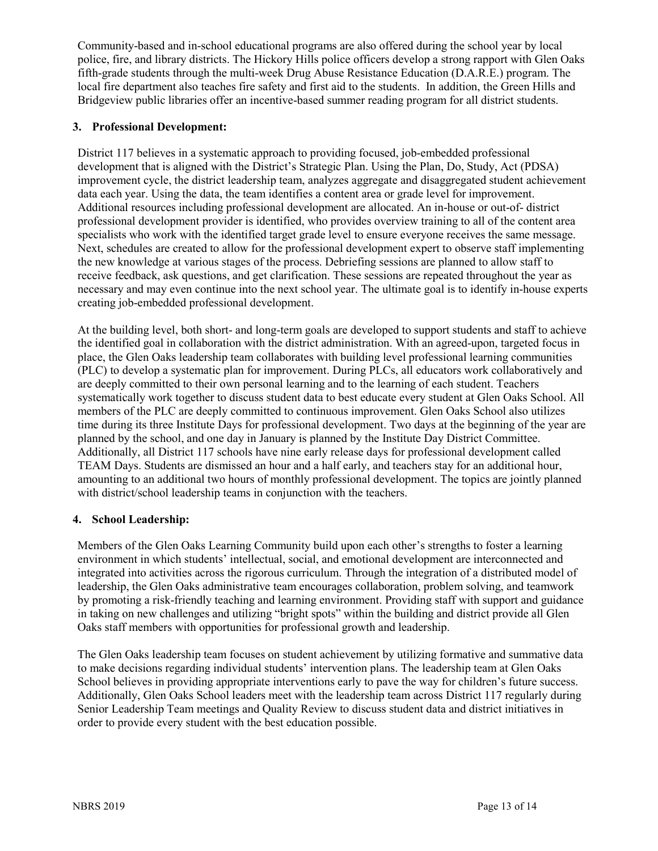Community-based and in-school educational programs are also offered during the school year by local police, fire, and library districts. The Hickory Hills police officers develop a strong rapport with Glen Oaks fifth-grade students through the multi-week Drug Abuse Resistance Education (D.A.R.E.) program. The local fire department also teaches fire safety and first aid to the students. In addition, the Green Hills and Bridgeview public libraries offer an incentive-based summer reading program for all district students.

# **3. Professional Development:**

District 117 believes in a systematic approach to providing focused, job-embedded professional development that is aligned with the District's Strategic Plan. Using the Plan, Do, Study, Act (PDSA) improvement cycle, the district leadership team, analyzes aggregate and disaggregated student achievement data each year. Using the data, the team identifies a content area or grade level for improvement. Additional resources including professional development are allocated. An in-house or out-of- district professional development provider is identified, who provides overview training to all of the content area specialists who work with the identified target grade level to ensure everyone receives the same message. Next, schedules are created to allow for the professional development expert to observe staff implementing the new knowledge at various stages of the process. Debriefing sessions are planned to allow staff to receive feedback, ask questions, and get clarification. These sessions are repeated throughout the year as necessary and may even continue into the next school year. The ultimate goal is to identify in-house experts creating job-embedded professional development.

At the building level, both short- and long-term goals are developed to support students and staff to achieve the identified goal in collaboration with the district administration. With an agreed-upon, targeted focus in place, the Glen Oaks leadership team collaborates with building level professional learning communities (PLC) to develop a systematic plan for improvement. During PLCs, all educators work collaboratively and are deeply committed to their own personal learning and to the learning of each student. Teachers systematically work together to discuss student data to best educate every student at Glen Oaks School. All members of the PLC are deeply committed to continuous improvement. Glen Oaks School also utilizes time during its three Institute Days for professional development. Two days at the beginning of the year are planned by the school, and one day in January is planned by the Institute Day District Committee. Additionally, all District 117 schools have nine early release days for professional development called TEAM Days. Students are dismissed an hour and a half early, and teachers stay for an additional hour, amounting to an additional two hours of monthly professional development. The topics are jointly planned with district/school leadership teams in conjunction with the teachers.

#### **4. School Leadership:**

Members of the Glen Oaks Learning Community build upon each other's strengths to foster a learning environment in which students' intellectual, social, and emotional development are interconnected and integrated into activities across the rigorous curriculum. Through the integration of a distributed model of leadership, the Glen Oaks administrative team encourages collaboration, problem solving, and teamwork by promoting a risk-friendly teaching and learning environment. Providing staff with support and guidance in taking on new challenges and utilizing "bright spots" within the building and district provide all Glen Oaks staff members with opportunities for professional growth and leadership.

The Glen Oaks leadership team focuses on student achievement by utilizing formative and summative data to make decisions regarding individual students' intervention plans. The leadership team at Glen Oaks School believes in providing appropriate interventions early to pave the way for children's future success. Additionally, Glen Oaks School leaders meet with the leadership team across District 117 regularly during Senior Leadership Team meetings and Quality Review to discuss student data and district initiatives in order to provide every student with the best education possible.